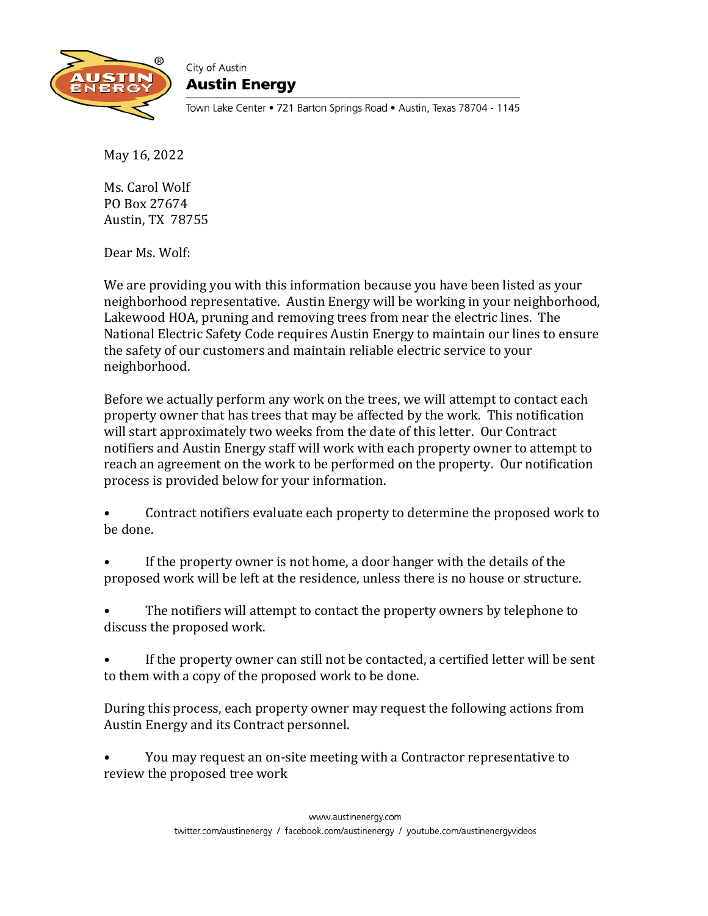

City of Austin Austin Energy

Town Lake Center • 721 Barton Springs Road • Austin, Texas 78704 - 1145

May 16, 2022

Ms. Carol Wolf PO Box 27674 Austin, TX 78755

Dear Ms. Wolf:

We are providing you with this information because you have been listed as your neighborhood representative. Austin Energy will be working in your neighborhood, Lakewood HOA, pruning and removing trees from near the electric lines. The National Electric Safety Code requires Austin Energy to maintain our lines to ensure the safety of our customers and maintain reliable electric service to your neighborhood.

Before we actually perform any work on the trees, we will attempt to contact each property owner that has trees that may be affected by the work. This notification will start approximately two weeks from the date of this letter. Our Contract notifiers and Austin Energy staff will work with each property owner to attempt to reach an agreement on the work to be performed on the property. Our notification process is provided below for your information.

• Contract notifiers evaluate each property to determine the proposed work to be done.

If the property owner is not home, a door hanger with the details of the proposed work will be left at the residence, unless there is no house or structure.

The notifiers will attempt to contact the property owners by telephone to discuss the proposed work.

• If the property owner can still not be contacted, a certified letter will be sent to them with a copy of the proposed work to be done.

During this process, each property owner may request the following actions from Austin Energy and its Contract personnel.

• You may request an on-site meeting with a Contractor representative to review the proposed tree work